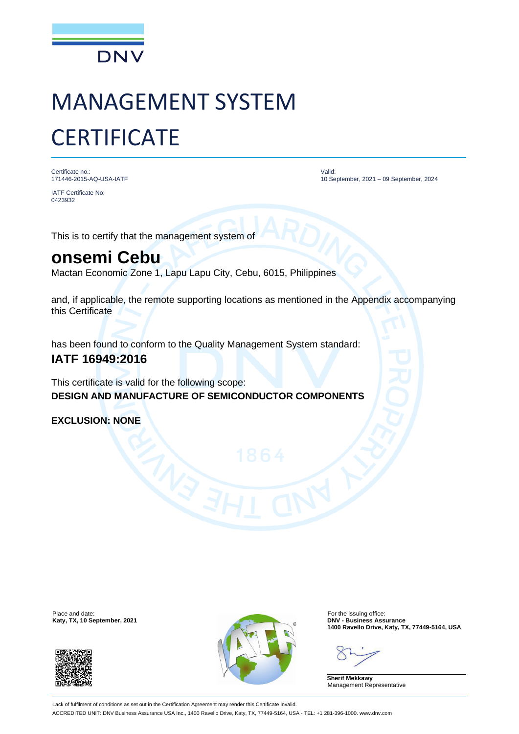

# MANAGEMENT SYSTEM **CERTIFICATE**

Certificate no.: 171446-2015-AQ-USA-IATF

IATF Certificate No: 0423932

Valid: 10 September, 2021 – 09 September, 2024

This is to certify that the management system of

## **onsemi Cebu**

Mactan Economic Zone 1, Lapu Lapu City, Cebu, 6015, Philippines

and, if applicable, the remote supporting locations as mentioned in the Appendix accompanying this Certificate

has been found to conform to the Quality Management System standard:

### **IATF 16949:2016**

This certificate is valid for the following scope: **DESIGN AND MANUFACTURE OF SEMICONDUCTOR COMPONENTS**

**EXCLUSION: NONE**

**Katy, TX, 10 September, 2021** 





**1400 Ravello Drive, Katy, TX, 77449-5164, USA**

**Sherif Mekkawy** Management Representative

Lack of fulfilment of conditions as set out in the Certification Agreement may render this Certificate invalid. ACCREDITED UNIT: DNV Business Assurance USA Inc., 1400 Ravello Drive, Katy, TX, 77449-5164, USA - TEL: +1 281-396-1000. www.dnv.com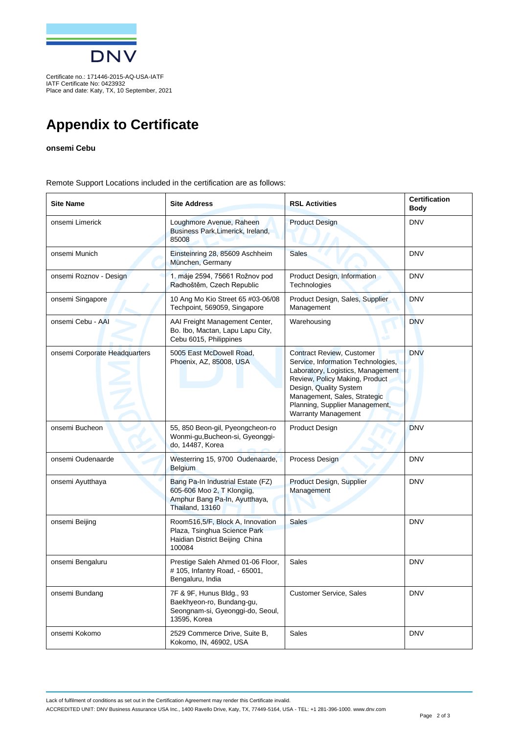

Certificate no.: 171446-2015-AQ-USA-IATF IATF Certificate No: 0423932 Place and date: Katy, TX, 10 September, 2021

## **Appendix to Certificate**

#### **onsemi Cebu**

Remote Support Locations included in the certification are as follows:

| <b>Site Name</b>              | <b>Site Address</b>                                                                                                 | <b>RSL Activities</b>                                                                                                                                                                                                                                                   | <b>Certification</b><br><b>Body</b> |
|-------------------------------|---------------------------------------------------------------------------------------------------------------------|-------------------------------------------------------------------------------------------------------------------------------------------------------------------------------------------------------------------------------------------------------------------------|-------------------------------------|
| onsemi Limerick               | Loughmore Avenue, Raheen<br>Business Park, Limerick, Ireland,<br>85008                                              | <b>Product Design</b>                                                                                                                                                                                                                                                   | <b>DNV</b>                          |
| onsemi Munich                 | Einsteinring 28, 85609 Aschheim<br>München, Germany                                                                 | <b>Sales</b>                                                                                                                                                                                                                                                            | <b>DNV</b>                          |
| onsemi Roznov - Design        | 1. máje 2594, 75661 Rožnov pod<br>Radhoštěm, Czech Republic                                                         | Product Design, Information<br>Technologies                                                                                                                                                                                                                             | <b>DNV</b>                          |
| onsemi Singapore              | 10 Ang Mo Kio Street 65 #03-06/08<br>Techpoint, 569059, Singapore                                                   | Product Design, Sales, Supplier<br>Management                                                                                                                                                                                                                           | <b>DNV</b>                          |
| onsemi Cebu - AAI             | AAI Freight Management Center,<br>Bo. Ibo, Mactan, Lapu Lapu City,<br>Cebu 6015, Philippines                        | Warehousing                                                                                                                                                                                                                                                             | <b>DNV</b>                          |
| onsemi Corporate Headquarters | 5005 East McDowell Road,<br>Phoenix, AZ, 85008, USA                                                                 | <b>Contract Review, Customer</b><br>Service, Information Technologies,<br>Laboratory, Logistics, Management<br>Review, Policy Making, Product<br>Design, Quality System<br>Management, Sales, Strategic<br>Planning, Supplier Management,<br><b>Warranty Management</b> | <b>DNV</b>                          |
| onsemi Bucheon                | 55, 850 Beon-gil, Pyeongcheon-ro<br>Wonmi-gu, Bucheon-si, Gyeonggi-<br>do, 14487, Korea                             | Product Design                                                                                                                                                                                                                                                          | <b>DNV</b>                          |
| onsemi Oudenaarde             | Westerring 15, 9700 Oudenaarde,<br><b>Belgium</b>                                                                   | Process Design                                                                                                                                                                                                                                                          | <b>DNV</b>                          |
| onsemi Ayutthaya              | Bang Pa-In Industrial Estate (FZ)<br>605-606 Moo 2, T Klongiig,<br>Amphur Bang Pa-In, Ayutthaya,<br>Thailand, 13160 | Product Design, Supplier<br>Management                                                                                                                                                                                                                                  | <b>DNV</b>                          |
| onsemi Beijing                | Room516,5/F, Block A, Innovation<br>Plaza, Tsinghua Science Park<br>Haidian District Beijing China<br>100084        | <b>Sales</b>                                                                                                                                                                                                                                                            | <b>DNV</b>                          |
| onsemi Bengaluru              | Prestige Saleh Ahmed 01-06 Floor,<br>#105, Infantry Road, - 65001,<br>Bengaluru, India                              | Sales                                                                                                                                                                                                                                                                   | <b>DNV</b>                          |
| onsemi Bundang                | 7F & 9F, Hunus Bldg., 93<br>Baekhyeon-ro, Bundang-gu,<br>Seongnam-si, Gyeonggi-do, Seoul,<br>13595, Korea           | <b>Customer Service, Sales</b>                                                                                                                                                                                                                                          | <b>DNV</b>                          |
| onsemi Kokomo                 | 2529 Commerce Drive, Suite B,<br>Kokomo, IN, 46902, USA                                                             | Sales                                                                                                                                                                                                                                                                   | <b>DNV</b>                          |

Lack of fulfilment of conditions as set out in the Certification Agreement may render this Certificate invalid.

ACCREDITED UNIT: DNV Business Assurance USA Inc., 1400 Ravello Drive, Katy, TX, 77449-5164, USA - TEL: +1 281-396-1000. www.dnv.com